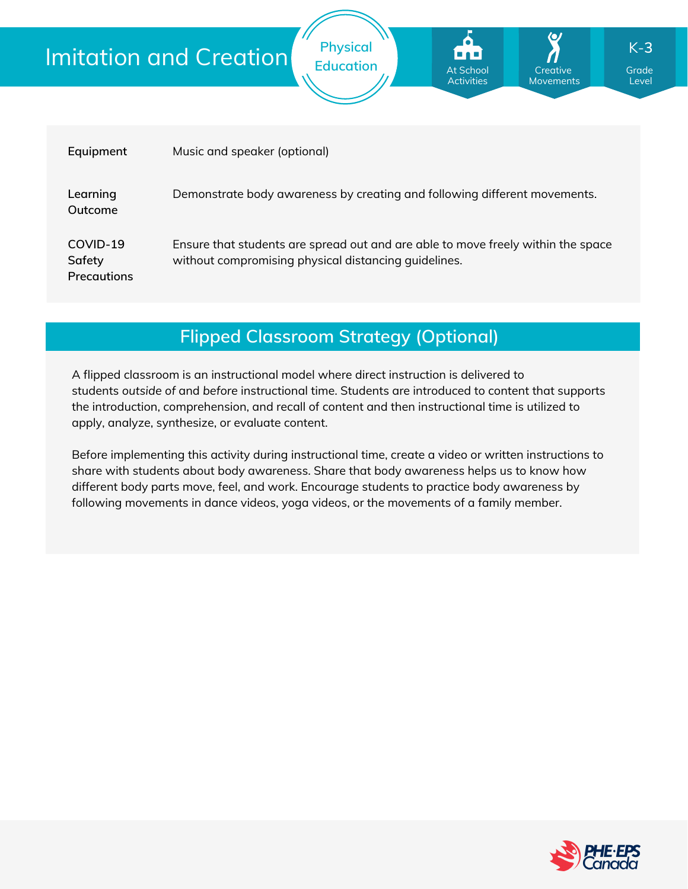# Imitation and Creation

| Equipment                                | Music and speaker (optional)                                                                                                             |
|------------------------------------------|------------------------------------------------------------------------------------------------------------------------------------------|
| Learning<br>Outcome                      | Demonstrate body awareness by creating and following different movements.                                                                |
| COVID-19<br>Safety<br><b>Precautions</b> | Ensure that students are spread out and are able to move freely within the space<br>without compromising physical distancing quidelines. |

**Physical**

**Education Grade** At School **Grade** Grade

At School Activities

**Creative** Movements

Level

K-**3**

**Flipped Classroom Strategy (Optional)**

A flipped classroom is an instructional model where direct instruction is delivered to students *outside of* and *before* instructional time. Students are introduced to content that supports the introduction, comprehension, and recall of content and then instructional time is utilized to apply, analyze, synthesize, or evaluate content.

Before implementing this activity during instructional time, create a video or written instructions to share with students about body awareness. Share that body awareness helps us to know how different body parts move, feel, and work. Encourage students to practice body awareness by following movements in dance videos, yoga videos, or the movements of a family member.

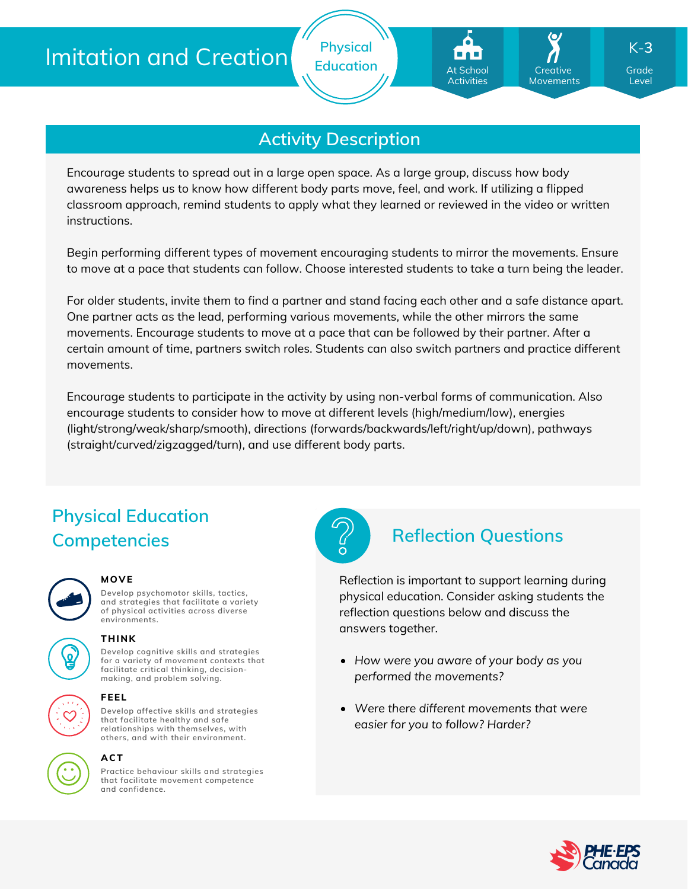# Imitation and Creation





Encourage students to spread out in a large open space. As a large group, discuss how body awareness helps us to know how different body parts move, feel, and work. If utilizing a flipped classroom approach, remind students to apply what they learned or reviewed in the video or written instructions.

Begin performing different types of movement encouraging students to mirror the movements. Ensure to move at a pace that students can follow. Choose interested students to take a turn being the leader.

For older students, invite them to find a partner and stand facing each other and a safe distance apart. One partner acts as the lead, performing various movements, while the other mirrors the same movements. Encourage students to move at a pace that can be followed by their partner. After a certain amount of time, partners switch roles. Students can also switch partners and practice different movements.

Encourage students to participate in the activity by using non-verbal forms of communication. Also encourage students to consider how to move at different levels (high/medium/low), energies (light/strong/weak/sharp/smooth), directions (forwards/backwards/left/right/up/down), pathways (straight/curved/zigzagged/turn), and use different body parts.

## **Physical Education Competencies Reflection Questions**



### **MOVE**

**Develop psychomotor skills, tactics, and strategies that facilitate a variety of physical activities across diverse environments.**



## **THINK**

**Develop cognitive skills and strategies for a variety of movement contexts that facilitate critical thinking, decision making, and problem solving.**



### **FEEL**

**Develop affective skills and strategies that facilitate healthy and safe relationships with themselves, with others, and with their environment.**



### **ACT**

**Practice behaviour skills and strategies that facilitate movement competence and confidence.**



Reflection is important to support learning during physical education. Consider asking students the reflection questions below and discuss the answers together.

- *How were you aware of your body as you performed the movements?*
- *Were there different movements that were easier for you to follow? Harder?*



Level

K-**3**

**Creative** Movements

At School Activities